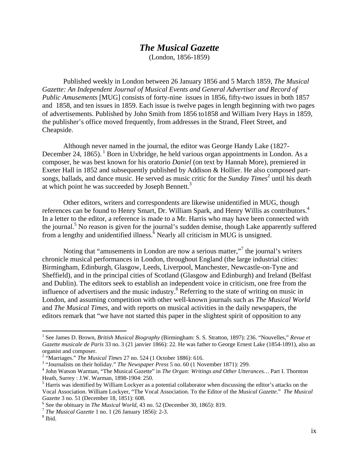## *The Musical Gazette*

(London, 1856-1859)

Published weekly in London between 26 January 1856 and 5 March 1859, *The Musical Gazette: An Independent Journal of Musical Events and General Advertiser and Record of Public Amusements* [MUG] consists of forty-nine issues in 1856, fifty-two issues in both 1857 and 1858, and ten issues in 1859. Each issue is twelve pages in length beginning with two pages of advertisements. Published by John Smith from 1856 to1858 and William Ivery Hays in 1859, the publisher's office moved frequently, from addresses in the Strand, Fleet Street, and Cheapside.

Although never named in the journal, the editor was George Handy Lake (1827- December 24, 1865). <sup>1</sup> Born in Uxbridge, he held various organ appointments in London. As a composer, he was best known for his oratorio *Daniel* (on text by Hannah More), premiered in Exeter Hall in 1852 and subsequently published by Addison & Hollier. He also composed partsongs, ballads, and dance music. He served as music critic for the *Sunday Times*<sup>2</sup> until his death at which point he was succeeded by Joseph Bennett.<sup>3</sup>

Other editors, writers and correspondents are likewise unidentified in MUG, though references can be found to Henry Smart, Dr. William Spark, and Henry Willis as contributors.<sup>4</sup> In a letter to the editor, a reference is made to a Mr. Harris who may have been connected with the journal.<sup>5</sup> No reason is given for the journal's sudden demise, though Lake apparently suffered from a lengthy and unidentified illness.<sup>6</sup> Nearly all criticism in MUG is unsigned.

Noting that "amusements in London are now a serious matter,"<sup>7</sup> the journal's writers chronicle musical performances in London, throughout England (the large industrial cities: Birmingham, Edinburgh, Glasgow, Leeds, Liverpool, Manchester, Newcastle-on-Tyne and Sheffield), and in the principal cities of Scotland (Glasgow and Edinburgh) and Ireland (Belfast and Dublin). The editors seek to establish an independent voice in criticism, one free from the influence of advertisers and the music industry. $8$  Referring to the state of writing on music in London, and assuming competition with other well-known journals such as *The Musical World* and *The Musical Times*, and with reports on musical activities in the daily newspapers, the editors remark that "we have not started this paper in the slightest spirit of opposition to any

<sup>1</sup> See James D. Brown, *British Musical Biography* (Birmingham: S. S. Stratton, 1897): 236. "Nouvelles," *Revue et Gazette musicale de Paris* 33 no. 3 (21 janvier 1866): 22. He was father to George Ernest Lake (1854-1891), also an organist and composer.

<sup>&</sup>lt;sup>2</sup> "Marriages." *The Musical Times* 27 no. 524 (1 October 1886): 616.<br><sup>3</sup> "Journalists on their holiday." *The Maugusnass Base*s 5 no. 60 (1 Nov

<sup>&</sup>lt;sup>3</sup> "Journalists on their holiday." *The Newspaper Press* 5 no. 60 (1 November 1871): 299.

<sup>&</sup>lt;sup>4</sup> John Watson Warman, "The Musical Gazette" in *The Organ: Writings and Other Utterances...* Part I. Thornton Heath, Surrey : J.W. Warman, 1898-1904: 250.

<sup>&</sup>lt;sup>5</sup> Harris was identified by William Lockyer as a potential collaborator when discussing the editor's attacks on the Vocal Association. William Lockyer, "The Vocal Association. To the Editor of the *Musical Gazette.*" *The Musical Gazette* 3 no. 51 (December 18, 1851): 608.

<sup>&</sup>lt;sup>6</sup> See the obituary in *The Musical World*, 43 no. 52 (December 30, 1865): 819. <sup>7</sup> *The Musical Gazette* 1 no. 1 (26 January 1856): 2-3.

<sup>&</sup>lt;sup>8</sup> Ibid.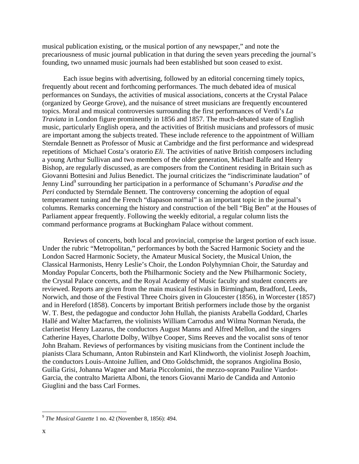musical publication existing, or the musical portion of any newspaper," and note the precariousness of music journal publication in that during the seven years preceding the journal's founding, two unnamed music journals had been established but soon ceased to exist.

Each issue begins with advertising, followed by an editorial concerning timely topics, frequently about recent and forthcoming performances. The much debated idea of musical performances on Sundays, the activities of musical associations, concerts at the Crystal Palace (organized by George Grove), and the nuisance of street musicians are frequently encountered topics. Moral and musical controversies surrounding the first performances of Verdi's *La Traviata* in London figure prominently in 1856 and 1857. The much-debated state of English music, particularly English opera, and the activities of British musicians and professors of music are important among the subjects treated. These include reference to the appointment of William Sterndale Bennett as Professor of Music at Cambridge and the first performance and widespread repetitions of Michael Costa's oratorio *Eli*. The activities of native British composers including a young Arthur Sullivan and two members of the older generation, Michael Balfe and Henry Bishop, are regularly discussed, as are composers from the Continent residing in Britain such as Giovanni Bottesini and Julius Benedict. The journal criticizes the "indiscriminate laudation" of Jenny Lind<sup>9</sup> surrounding her participation in a performance of Schumann's *Paradise and the Peri* conducted by Sterndale Bennett. The controversy concerning the adoption of equal temperament tuning and the French "diapason normal" is an important topic in the journal's columns. Remarks concerning the history and construction of the bell "Big Ben" at the Houses of Parliament appear frequently. Following the weekly editorial, a regular column lists the command performance programs at Buckingham Palace without comment.

Reviews of concerts, both local and provincial, comprise the largest portion of each issue. Under the rubric "Metropolitan," performances by both the Sacred Harmonic Society and the London Sacred Harmonic Society, the Amateur Musical Society, the Musical Union, the Classical Harmonists, Henry Leslie's Choir, the London Polyhymnian Choir, the Saturday and Monday Popular Concerts, both the Philharmonic Society and the New Philharmonic Society, the Crystal Palace concerts, and the Royal Academy of Music faculty and student concerts are reviewed. Reports are given from the main musical festivals in Birmingham, Bradford, Leeds, Norwich, and those of the Festival Three Choirs given in Gloucester (1856), in Worcester (1857) and in Hereford (1858). Concerts by important British performers include those by the organist W. T. Best, the pedagogue and conductor John Hullah, the pianists Arabella Goddard, Charles Hallé and Walter Macfarren, the violinists William Carrodus and Wilma Norman Neruda, the clarinetist Henry Lazarus, the conductors August Manns and Alfred Mellon, and the singers Catherine Hayes, Charlotte Dolby, Wilbye Cooper, Sims Reeves and the vocalist sons of tenor John Braham. Reviews of performances by visiting musicians from the Continent include the pianists Clara Schumann, Anton Rubinstein and Karl Klindworth, the violinist Joseph Joachim, the conductors Louis-Antoine Jullien, and Otto Goldschmidt, the sopranos Angiolina Bosio, Guilia Grisi, Johanna Wagner and Maria Piccolomini, the mezzo-soprano Pauline Viardot-Garcia, the contralto Marietta Alboni, the tenors Giovanni Mario de Candida and Antonio Giuglini and the bass Carl Formes.

 $\overline{a}$ 

<sup>9</sup> *The Musical Gazette* 1 no. 42 (November 8, 1856): 494.